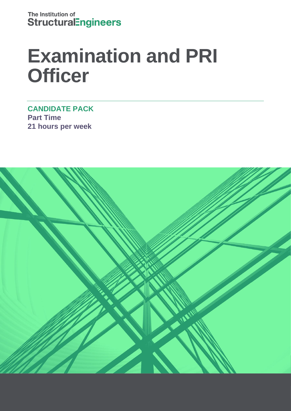The Institution of **StructuralEngineers** 

# **Examination and PRI Officer**

**CANDIDATE PACK Part Time 21 hours per week** 

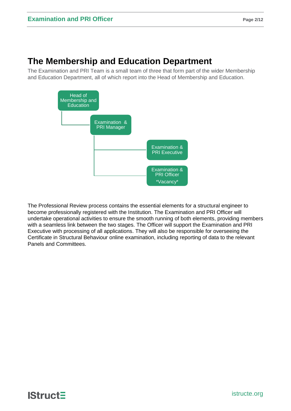### **The Membership and Education Department**

The Examination and PRI Team is a small team of three that form part of the wider Membership and Education Department, all of which report into the Head of Membership and Education.



The Professional Review process contains the essential elements for a structural engineer to become professionally registered with the Institution. The Examination and PRI Officer will undertake operational activities to ensure the smooth running of both elements, providing members with a seamless link between the two stages. The Officer will support the Examination and PRI Executive with processing of all applications. They will also be responsible for overseeing the Certificate in Structural Behaviour online examination, including reporting of data to the relevant Panels and Committees.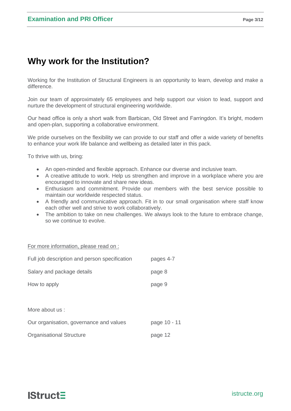# **Why work for the Institution?**

Working for the Institution of Structural Engineers is an opportunity to learn, develop and make a difference.

Join our team of approximately 65 employees and help support our vision to lead, support and nurture the development of structural engineering worldwide.

Our head office is only a short walk from Barbican, Old Street and Farringdon. It's bright, modern and open-plan, supporting a collaborative environment.

We pride ourselves on the flexibility we can provide to our staff and offer a wide variety of benefits to enhance your work life balance and wellbeing as detailed later in this pack.

To thrive with us, bring:

- An open-minded and flexible approach. Enhance our diverse and inclusive team.
- A creative attitude to work. Help us strengthen and improve in a workplace where you are encouraged to innovate and share new ideas.
- Enthusiasm and commitment. Provide our members with the best service possible to maintain our worldwide respected status.
- A friendly and communicative approach. Fit in to our small organisation where staff know each other well and strive to work collaboratively.
- The ambition to take on new challenges. We always look to the future to embrace change, so we continue to evolve.

For more information, please read on :

| Full job description and person specification | pages 4-7    |
|-----------------------------------------------|--------------|
| Salary and package details                    | page 8       |
| How to apply                                  | page 9       |
|                                               |              |
| More about us :                               |              |
| Our organisation, governance and values       | page 10 - 11 |
| <b>Organisational Structure</b>               | page 12      |

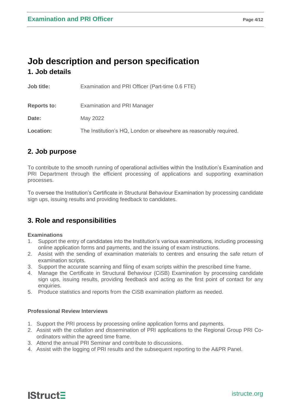### **Job description and person specification 1. Job details**

| Job title:         | Examination and PRI Officer (Part-time 0.6 FTE)                   |
|--------------------|-------------------------------------------------------------------|
| <b>Reports to:</b> | <b>Examination and PRI Manager</b>                                |
| Date:              | May 2022                                                          |
| <b>Location:</b>   | The Institution's HQ, London or elsewhere as reasonably required. |

### **2. Job purpose**

To contribute to the smooth running of operational activities within the Institution's Examination and PRI Department through the efficient processing of applications and supporting examination processes.

To oversee the Institution's Certificate in Structural Behaviour Examination by processing candidate sign ups, issuing results and providing feedback to candidates.

### **3. Role and responsibilities**

#### **Examinations**

- 1. Support the entry of candidates into the Institution's various examinations, including processing online application forms and payments, and the issuing of exam instructions.
- 2. Assist with the sending of examination materials to centres and ensuring the safe return of examination scripts.
- 3. Support the accurate scanning and filing of exam scripts within the prescribed time frame.
- 4. Manage the Certificate in Structural Behaviour (CiSB) Examination by processing candidate sign ups, issuing results, providing feedback and acting as the first point of contact for any enquiries.
- 5. Produce statistics and reports from the CiSB examination platform as needed.

#### **Professional Review Interviews**

- 1. Support the PRI process by processing online application forms and payments.
- 2. Assist with the collation and dissemination of PRI applications to the Regional Group PRI Coordinators within the agreed time frame.
- 3. Attend the annual PRI Seminar and contribute to discussions.
- 4. Assist with the logging of PRI results and the subsequent reporting to the A&PR Panel.

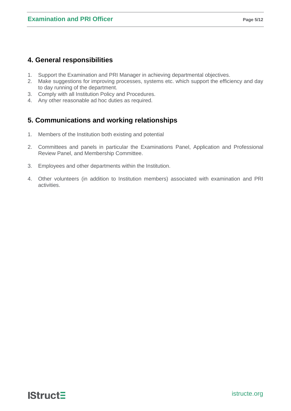### **4. General responsibilities**

- 1. Support the Examination and PRI Manager in achieving departmental objectives.
- 2. Make suggestions for improving processes, systems etc. which support the efficiency and day to day running of the department.
- 3. Comply with all Institution Policy and Procedures.
- 4. Any other reasonable ad hoc duties as required.

### **5. Communications and working relationships**

- 1. Members of the Institution both existing and potential
- 2. Committees and panels in particular the Examinations Panel, Application and Professional Review Panel, and Membership Committee.
- 3. Employees and other departments within the Institution.
- 4. Other volunteers (in addition to Institution members) associated with examination and PRI activities.

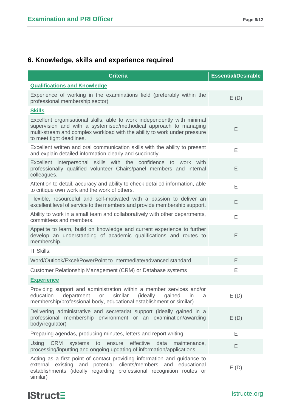### **6. Knowledge, skills and experience required**

| <b>Criteria</b>                                                                                                                                                                                                                                        | <b>Essential/Desirable</b> |
|--------------------------------------------------------------------------------------------------------------------------------------------------------------------------------------------------------------------------------------------------------|----------------------------|
| <b>Qualifications and Knowledge</b>                                                                                                                                                                                                                    |                            |
| Experience of working in the examinations field (preferably within the<br>professional membership sector)                                                                                                                                              | E(D)                       |
| <u>Skills</u>                                                                                                                                                                                                                                          |                            |
| Excellent organisational skills, able to work independently with minimal<br>supervision and with a systemised/methodical approach to managing<br>multi-stream and complex workload with the ability to work under pressure<br>to meet tight deadlines. | E                          |
| Excellent written and oral communication skills with the ability to present<br>and explain detailed information clearly and succinctly.                                                                                                                | E                          |
| Excellent interpersonal skills with the confidence to work with<br>professionally qualified volunteer Chairs/panel members and internal<br>colleagues.                                                                                                 | E                          |
| Attention to detail, accuracy and ability to check detailed information, able<br>to critique own work and the work of others.                                                                                                                          | E                          |
| Flexible, resourceful and self-motivated with a passion to deliver an<br>excellent level of service to the members and provide membership support.                                                                                                     | E                          |
| Ability to work in a small team and collaboratively with other departments,<br>committees and members.                                                                                                                                                 | E                          |
| Appetite to learn, build on knowledge and current experience to further<br>develop an understanding of academic qualifications and routes to<br>membership.                                                                                            | E                          |
| IT Skills:                                                                                                                                                                                                                                             |                            |
| Word/Outlook/Excel/PowerPoint to intermediate/advanced standard                                                                                                                                                                                        | Ε                          |
| Customer Relationship Management (CRM) or Database systems                                                                                                                                                                                             | Ε                          |
| <b>Experience</b>                                                                                                                                                                                                                                      |                            |
| Providing support and administration within a member services and/or<br>similar (ideally<br>education<br>department or<br>gained<br>in.<br>a<br>membership/professional body, educational establishment or similar)                                    | E(D)                       |
| Delivering administrative and secretariat support (ideally gained in a<br>professional membership environment or an examination/awarding<br>body/regulator)                                                                                            | E(D)                       |
| Preparing agendas, producing minutes, letters and report writing                                                                                                                                                                                       | E                          |
| effective<br>Using<br><b>CRM</b><br>systems<br>to ensure<br>data<br>maintenance,<br>processing/inputting and ongoing updating of information/applications                                                                                              | Ε                          |
| Acting as a first point of contact providing information and guidance to<br>external existing and potential clients/members and educational<br>establishments (ideally regarding professional recognition routes or<br>similar)                        | E(D)                       |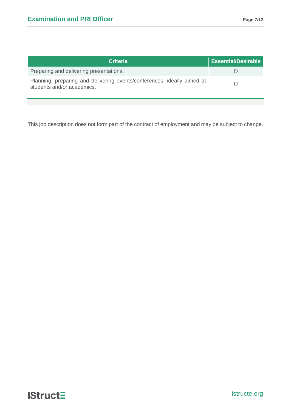| <b>Criteria</b>                                                                                       | <b>Essential/Desirable</b> |
|-------------------------------------------------------------------------------------------------------|----------------------------|
| Preparing and delivering presentations.                                                               |                            |
| Planning, preparing and delivering events/conferences, ideally aimed at<br>students and/or academics. |                            |

This job description does not form part of the contract of employment and may be subject to change.

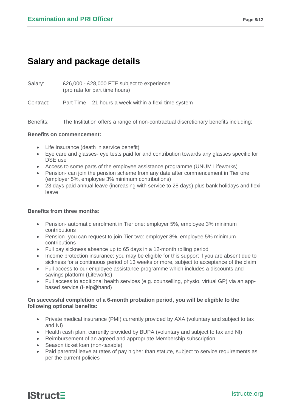# **Salary and package details**

Salary: £26,000 - £28,000 FTE subject to experience (pro rata for part time hours)

Contract: Part Time – 21 hours a week within a flexi-time system

Benefits: The Institution offers a range of non-contractual discretionary benefits including:

#### **Benefits on commencement:**

- Life Insurance (death in service benefit)
- Eye care and glasses- eye tests paid for and contribution towards any glasses specific for DSE use
- Access to some parts of the employee assistance programme (UNUM Lifeworks)
- Pension- can join the pension scheme from any date after commencement in Tier one (employer 5%, employee 3% minimum contributions)
- 23 days paid annual leave (increasing with service to 28 days) plus bank holidays and flexi leave

#### **Benefits from three months:**

- Pension- automatic enrolment in Tier one: employer 5%, employee 3% minimum contributions
- Pension- you can request to join Tier two: employer 8%, employee 5% minimum contributions
- Full pay sickness absence up to 65 days in a 12-month rolling period
- Income protection insurance: you may be eligible for this support if you are absent due to sickness for a continuous period of 13 weeks or more, subject to acceptance of the claim
- Full access to our employee assistance programme which includes a discounts and savings platform (Lifeworks)
- Full access to additional health services (e.g. counselling, physio, virtual GP) via an appbased service (Help@hand)

#### **On successful completion of a 6-month probation period, you will be eligible to the following optional benefits:**

- Private medical insurance (PMI) currently provided by AXA (voluntary and subject to tax and NI)
- Health cash plan, currently provided by BUPA (voluntary and subject to tax and NI)
- Reimbursement of an agreed and appropriate Membership subscription
- Season ticket loan (non-taxable)
- Paid parental leave at rates of pay higher than statute, subject to service requirements as per the current policies

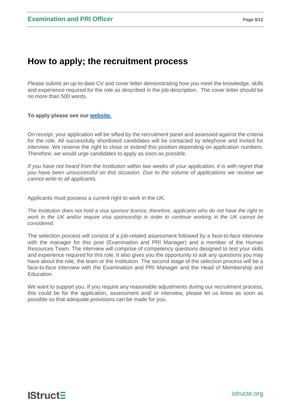## **How to apply; the recruitment process**

Please submit an up-to-date CV and cover letter demonstrating how you meet the knowledge, skills and experience required for the role as described in the job description. The cover letter should be no more than 500 words.

#### **To apply please see our [website.](https://www.istructe.org/about-us/work-for-us/#View%20current%20vacancies)**

On receipt, your application will be sifted by the recruitment panel and assessed against the criteria for the role. All successfully shortlisted candidates will be contacted by telephone and invited for interview. We reserve the right to close or extend this position depending on application numbers. Therefore, we would urge candidates to apply as soon as possible.

*If you have not heard from the Institution within two weeks of your application, it is with regret that you have been unsuccessful on this occasion. Due to the volume of applications we receive we cannot write to all applicants.*

Applicants must possess a current right to work in the UK.

*The Institution does not hold a visa sponsor licence, therefore, applicants who do not have the right to work in the UK and/or require visa sponsorship in order to continue working in the UK cannot be considered.*

The selection process will consist of a job-related assessment followed by a face-to-face interview with the manager for this post (Examination and PRI Manager) and a member of the Human Resources Team. The interview will comprise of competency questions designed to test your skills and experience required for this role. It also gives you the opportunity to ask any questions you may have about the role, the team or the Institution. The second stage of the selection process will be a face-to-face interview with the Examination and PRI Manager and the Head of Membership and Education.

We want to support you. If you require any reasonable adjustments during our recruitment process, this could be for the application, assessment and/ or interview, please let us know as soon as possible so that adequate provisions can be made for you.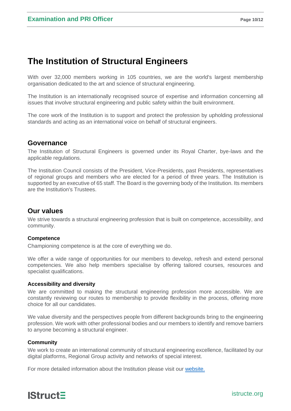## **The Institution of Structural Engineers**

With over 32,000 members working in 105 countries, we are the world's largest membership organisation dedicated to the art and science of structural engineering.

The Institution is an internationally recognised source of expertise and information concerning all issues that involve structural engineering and public safety within the built environment.

The core work of the Institution is to support and protect the profession by upholding professional standards and acting as an international voice on behalf of structural engineers.

### **Governance**

The Institution of Structural Engineers is governed under its Royal Charter, bye-laws and the applicable regulations.

The Institution [Council](http://www.istructe.org/about-us/organisation-structure/council) consists of the President, Vice-Presidents, past Presidents, representatives of regional groups and members who are elected for a period of three years. The Institution is supported by an executive of 65 staff. The [Board](http://www.istructe.org/about-us/organisation-structure/board-of-trustee) is the governing body of the Institution. Its members are the Institution's Trustees.

### **Our values**

We strive towards a structural engineering profession that is built on competence, accessibility, and community.

#### **Competence**

Championing competence is at the core of everything we do.

We offer a wide range of opportunities for our members to develop, refresh and extend personal competencies. We also help members specialise by offering tailored courses, resources and specialist qualifications.

#### **Accessibility and diversity**

We are committed to making the structural engineering profession more accessible. We are constantly reviewing our routes to membership to provide flexibility in the process, offering more choice for all our candidates.

We value diversity and the perspectives people from different backgrounds bring to the engineering profession. We work with other professional bodies and our members to identify and remove barriers to anyone becoming a structural engineer.

#### **Community**

We work to create an international community of structural engineering excellence, facilitated by our digital platforms, Regional Group activity and networks of special interest.

For more detailed information about the Institution please visit our [website.](https://www.istructe.org/)

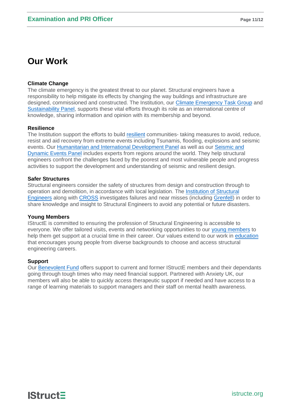# **Our Work**

#### **Climate Change**

The climate emergency is the greatest threat to our planet. Structural engineers have a responsibility to help mitigate its effects by changing the way buildings and infrastructure are designed, commissioned and constructed. The Institution, our [Climate Emergency Task Group](https://www.istructe.org/resources/climate-emergency/#6.%20Get%20involved) and [Sustainability Panel,](https://www.istructe.org/get-involved/panels-and-committees/sustainability/) supports these vital efforts through its role as an international centre of knowledge, sharing information and opinion with its membership and beyond.

#### **Resilience**

The Institution support the efforts to build [resilient](https://www.istructe.org/resources/resilience/) communities- taking measures to avoid, reduce, resist and aid recovery from extreme events including Tsunamis, flooding, explosions and seismic events. Our [Humanitarian and International Development Panel](https://www.istructe.org/get-involved/panels-and-committees/humanitarian-international/) as well as our [Seismic and](https://www.istructe.org/get-involved/panels-and-committees/seismic-dynamic-events/)  [Dynamic Events Panel](https://www.istructe.org/get-involved/panels-and-committees/seismic-dynamic-events/) includes experts from regions around the world. They help structural engineers confront the challenges faced by the poorest and most vulnerable people and progress activities to support the development and understanding of seismic and resilient design.

#### **Safer Structures**

Structural engineers consider the safety of structures from design and construction through to operation and demolition, in accordance with local legislation. The [Institution of Structural](https://www.istructe.org/resources/safety-of-society/)  [Engineers](https://www.istructe.org/resources/safety-of-society/) along with [CROSS](https://www.cross-safety.org/uk) investigates failures and near misses (including [Grenfell\)](https://www.istructe.org/resources/training/lecture-risk-management-learning-from-failures/) in order to share knowledge and insight to Structural Engineers to avoid any potential or future disasters.

#### **Young Members**

IStructE is committed to ensuring the profession of Structural Engineering is accessible to everyone. We offer tailored visits, events and networking opportunities to our [young members](https://www.istructe.org/get-involved/young-member-groups/) to help them get support at a crucial time in their career. Our values extend to our work in [education](https://www.istructe.org/resources/teaching-resources/) that encourages young people from diverse backgrounds to choose and access structural engineering careers.

#### **Support**

Our [Benevolent Fund](https://www.istructe.org/about-us/benevolent-fund/) offers support to current and former IStructE members and their dependants going through tough times who may need financial support. Partnered with Anxiety UK, our members will also be able to quickly access therapeutic support if needed and have access to a range of learning materials to support managers and their staff on mental health awareness.